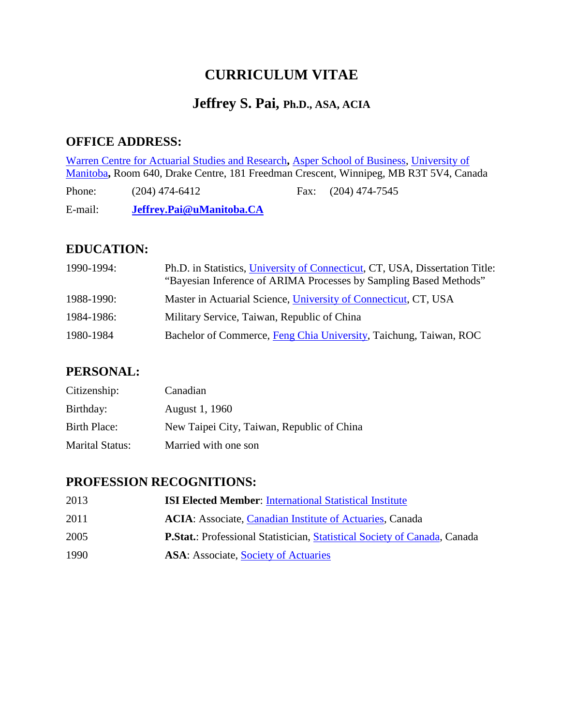# **CURRICULUM VITAE**

## **Jeffrey S. Pai, Ph.D., ASA, ACIA**

### **OFFICE ADDRESS:**

[Warren Centre for Actuarial Studies and Research](http://www.umanitoba.ca/actuarial/)**,** [Asper School of Business,](http://www.umanitoba.ca/management/mainNavset.html) [University of](http://umanitoba.ca/)  [Manitoba](http://umanitoba.ca/)**,** Room 640, Drake Centre, 181 Freedman Crescent, Winnipeg, MB R3T 5V4, Canada

Phone: (204) 474-6412 Fax: (204) 474-7545

E-mail: **Jeffrey.Pai@uManitoba.CA**

### **EDUCATION:**

| 1990-1994: | Ph.D. in Statistics, University of Connecticut, CT, USA, Dissertation Title:<br>"Bayesian Inference of ARIMA Processes by Sampling Based Methods" |
|------------|---------------------------------------------------------------------------------------------------------------------------------------------------|
| 1988-1990: | Master in Actuarial Science, University of Connecticut, CT, USA                                                                                   |
| 1984-1986: | Military Service, Taiwan, Republic of China                                                                                                       |
| 1980-1984  | Bachelor of Commerce, Feng Chia University, Taichung, Taiwan, ROC                                                                                 |

### **PERSONAL:**

| Citizenship:           | Canadian                                   |
|------------------------|--------------------------------------------|
| Birthday:              | August 1, 1960                             |
| Birth Place:           | New Taipei City, Taiwan, Republic of China |
| <b>Marital Status:</b> | Married with one son                       |

#### **PROFESSION RECOGNITIONS:**

| 2013 | <b>ISI Elected Member: International Statistical Institute</b>                   |
|------|----------------------------------------------------------------------------------|
| 2011 | <b>ACIA:</b> Associate, <i>Canadian Institute of Actuaries</i> , <i>Canada</i>   |
| 2005 | <b>P.Stat.:</b> Professional Statistician, Statistical Society of Canada, Canada |
| 1990 | <b>ASA:</b> Associate, Society of Actuaries                                      |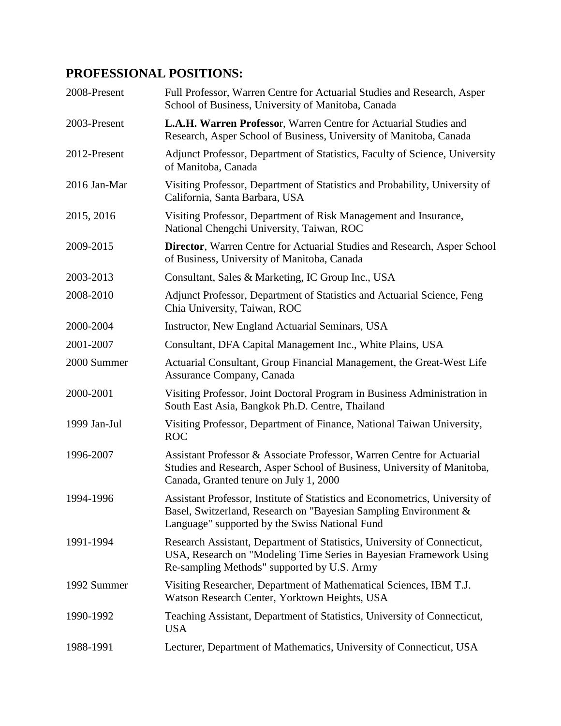## **PROFESSIONAL POSITIONS:**

| 2008-Present | Full Professor, Warren Centre for Actuarial Studies and Research, Asper<br>School of Business, University of Manitoba, Canada                                                                      |
|--------------|----------------------------------------------------------------------------------------------------------------------------------------------------------------------------------------------------|
| 2003-Present | L.A.H. Warren Professor, Warren Centre for Actuarial Studies and<br>Research, Asper School of Business, University of Manitoba, Canada                                                             |
| 2012-Present | Adjunct Professor, Department of Statistics, Faculty of Science, University<br>of Manitoba, Canada                                                                                                 |
| 2016 Jan-Mar | Visiting Professor, Department of Statistics and Probability, University of<br>California, Santa Barbara, USA                                                                                      |
| 2015, 2016   | Visiting Professor, Department of Risk Management and Insurance,<br>National Chengchi University, Taiwan, ROC                                                                                      |
| 2009-2015    | <b>Director</b> , Warren Centre for Actuarial Studies and Research, Asper School<br>of Business, University of Manitoba, Canada                                                                    |
| 2003-2013    | Consultant, Sales & Marketing, IC Group Inc., USA                                                                                                                                                  |
| 2008-2010    | Adjunct Professor, Department of Statistics and Actuarial Science, Feng<br>Chia University, Taiwan, ROC                                                                                            |
| 2000-2004    | Instructor, New England Actuarial Seminars, USA                                                                                                                                                    |
| 2001-2007    | Consultant, DFA Capital Management Inc., White Plains, USA                                                                                                                                         |
| 2000 Summer  | Actuarial Consultant, Group Financial Management, the Great-West Life<br>Assurance Company, Canada                                                                                                 |
| 2000-2001    | Visiting Professor, Joint Doctoral Program in Business Administration in<br>South East Asia, Bangkok Ph.D. Centre, Thailand                                                                        |
| 1999 Jan-Jul | Visiting Professor, Department of Finance, National Taiwan University,<br><b>ROC</b>                                                                                                               |
| 1996-2007    | Assistant Professor & Associate Professor, Warren Centre for Actuarial<br>Studies and Research, Asper School of Business, University of Manitoba,<br>Canada, Granted tenure on July 1, 2000        |
| 1994-1996    | Assistant Professor, Institute of Statistics and Econometrics, University of<br>Basel, Switzerland, Research on "Bayesian Sampling Environment &<br>Language" supported by the Swiss National Fund |
| 1991-1994    | Research Assistant, Department of Statistics, University of Connecticut,<br>USA, Research on "Modeling Time Series in Bayesian Framework Using<br>Re-sampling Methods" supported by U.S. Army      |
| 1992 Summer  | Visiting Researcher, Department of Mathematical Sciences, IBM T.J.<br>Watson Research Center, Yorktown Heights, USA                                                                                |
| 1990-1992    | Teaching Assistant, Department of Statistics, University of Connecticut,<br><b>USA</b>                                                                                                             |
| 1988-1991    | Lecturer, Department of Mathematics, University of Connecticut, USA                                                                                                                                |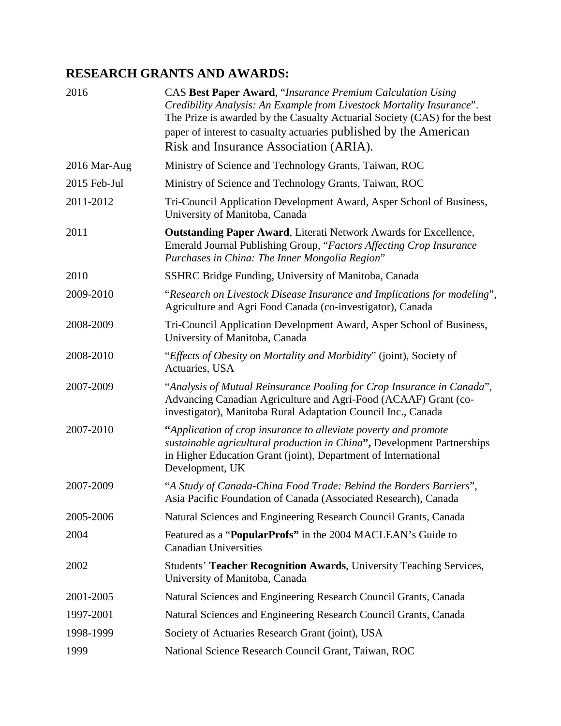### **RESEARCH GRANTS AND AWARDS:**

| 2016         | CAS Best Paper Award, "Insurance Premium Calculation Using<br>Credibility Analysis: An Example from Livestock Mortality Insurance".<br>The Prize is awarded by the Casualty Actuarial Society (CAS) for the best<br>paper of interest to casualty actuaries published by the American<br>Risk and Insurance Association (ARIA). |
|--------------|---------------------------------------------------------------------------------------------------------------------------------------------------------------------------------------------------------------------------------------------------------------------------------------------------------------------------------|
| 2016 Mar-Aug | Ministry of Science and Technology Grants, Taiwan, ROC                                                                                                                                                                                                                                                                          |
| 2015 Feb-Jul | Ministry of Science and Technology Grants, Taiwan, ROC                                                                                                                                                                                                                                                                          |
| 2011-2012    | Tri-Council Application Development Award, Asper School of Business,<br>University of Manitoba, Canada                                                                                                                                                                                                                          |
| 2011         | <b>Outstanding Paper Award, Literati Network Awards for Excellence,</b><br>Emerald Journal Publishing Group, "Factors Affecting Crop Insurance<br>Purchases in China: The Inner Mongolia Region"                                                                                                                                |
| 2010         | SSHRC Bridge Funding, University of Manitoba, Canada                                                                                                                                                                                                                                                                            |
| 2009-2010    | "Research on Livestock Disease Insurance and Implications for modeling",<br>Agriculture and Agri Food Canada (co-investigator), Canada                                                                                                                                                                                          |
| 2008-2009    | Tri-Council Application Development Award, Asper School of Business,<br>University of Manitoba, Canada                                                                                                                                                                                                                          |
| 2008-2010    | "Effects of Obesity on Mortality and Morbidity" (joint), Society of<br>Actuaries, USA                                                                                                                                                                                                                                           |
| 2007-2009    | "Analysis of Mutual Reinsurance Pooling for Crop Insurance in Canada",<br>Advancing Canadian Agriculture and Agri-Food (ACAAF) Grant (co-<br>investigator), Manitoba Rural Adaptation Council Inc., Canada                                                                                                                      |
| 2007-2010    | "Application of crop insurance to alleviate poverty and promote<br>sustainable agricultural production in China", Development Partnerships<br>in Higher Education Grant (joint), Department of International<br>Development, UK                                                                                                 |
| 2007-2009    | "A Study of Canada-China Food Trade: Behind the Borders Barriers",<br>Asia Pacific Foundation of Canada (Associated Research), Canada                                                                                                                                                                                           |
| 2005-2006    | Natural Sciences and Engineering Research Council Grants, Canada                                                                                                                                                                                                                                                                |
| 2004         | Featured as a "PopularProfs" in the 2004 MACLEAN's Guide to<br><b>Canadian Universities</b>                                                                                                                                                                                                                                     |
| 2002         | Students' Teacher Recognition Awards, University Teaching Services,<br>University of Manitoba, Canada                                                                                                                                                                                                                           |
| 2001-2005    | Natural Sciences and Engineering Research Council Grants, Canada                                                                                                                                                                                                                                                                |
| 1997-2001    | Natural Sciences and Engineering Research Council Grants, Canada                                                                                                                                                                                                                                                                |
| 1998-1999    | Society of Actuaries Research Grant (joint), USA                                                                                                                                                                                                                                                                                |
| 1999         | National Science Research Council Grant, Taiwan, ROC                                                                                                                                                                                                                                                                            |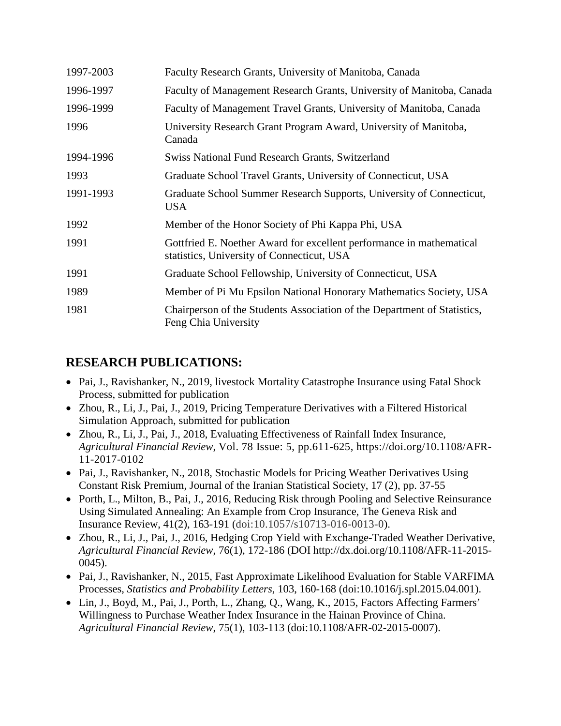| 1997-2003 | Faculty Research Grants, University of Manitoba, Canada                                                            |
|-----------|--------------------------------------------------------------------------------------------------------------------|
| 1996-1997 | Faculty of Management Research Grants, University of Manitoba, Canada                                              |
| 1996-1999 | Faculty of Management Travel Grants, University of Manitoba, Canada                                                |
| 1996      | University Research Grant Program Award, University of Manitoba,<br>Canada                                         |
| 1994-1996 | <b>Swiss National Fund Research Grants, Switzerland</b>                                                            |
| 1993      | Graduate School Travel Grants, University of Connecticut, USA                                                      |
| 1991-1993 | Graduate School Summer Research Supports, University of Connecticut,<br><b>USA</b>                                 |
| 1992      | Member of the Honor Society of Phi Kappa Phi, USA                                                                  |
| 1991      | Gottfried E. Noether Award for excellent performance in mathematical<br>statistics, University of Connecticut, USA |
| 1991      | Graduate School Fellowship, University of Connecticut, USA                                                         |
| 1989      | Member of Pi Mu Epsilon National Honorary Mathematics Society, USA                                                 |
| 1981      | Chairperson of the Students Association of the Department of Statistics,<br>Feng Chia University                   |

### **RESEARCH PUBLICATIONS:**

- Pai, J., Ravishanker, N., 2019, livestock Mortality Catastrophe Insurance using Fatal Shock Process, submitted for publication
- Zhou, R., Li, J., Pai, J., 2019, Pricing Temperature Derivatives with a Filtered Historical Simulation Approach, submitted for publication
- Zhou, R., Li, J., Pai, J., 2018, Evaluating Effectiveness of Rainfall Index Insurance, *Agricultural Financial Review*, Vol. 78 Issue: 5, pp.611-625, [https://doi.org/10.1108/AFR-](https://doi.org/10.1108/AFR-11-2017-0102)[11-2017-0102](https://doi.org/10.1108/AFR-11-2017-0102)
- Pai, J., Ravishanker, N., 2018, Stochastic Models for Pricing Weather Derivatives Using Constant Risk Premium, Journal of the Iranian Statistical Society, 17 (2), pp. 37-55
- Porth, L., Milton, B., Pai, J., 2016, Reducing Risk through Pooling and Selective Reinsurance Using Simulated Annealing: An Example from Crop Insurance, The Geneva Risk and Insurance Review, 41(2), 163-191 (doi:10.1057/s10713-016-0013-0).
- Zhou, R., Li, J., Pai, J., 2016, Hedging Crop Yield with Exchange-Traded Weather Derivative, *Agricultural Financial Review*, 76(1), 172-186 (DOI [http://dx.doi.org/10.1108/AFR-11-2015-](http://dx.doi.org/10.1108/AFR-11-2015-0045) [0045\)](http://dx.doi.org/10.1108/AFR-11-2015-0045).
- Pai, J., Ravishanker, N., 2015, Fast Approximate Likelihood Evaluation for Stable VARFIMA Processes, *Statistics and Probability Letters*, 103, 160-168 [\(doi:10.1016/j.spl.2015.04.001\)](http://dx.doi.org.uml.idm.oclc.org/10.1016/j.spl.2015.04.001).
- Lin, J., Boyd, M., Pai, J., Porth, L., Zhang, Q., Wang, K., 2015, Factors Affecting Farmers' Willingness to Purchase Weather Index Insurance in the Hainan Province of China. *Agricultural Financial Review*, 75(1), 103-113 [\(doi:10.1108/AFR-02-2015-0007\)](http://dx.doi.org/10.1108/AFR-02-2015-0007).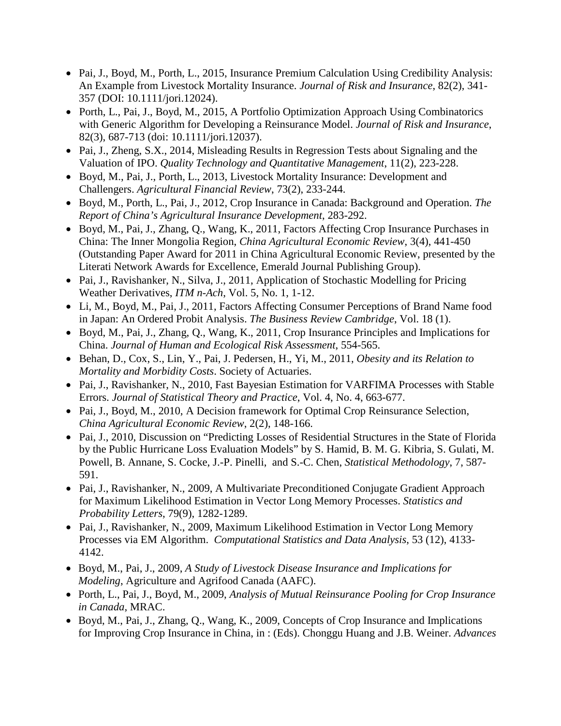- Pai, J., Boyd, M., Porth, L., 2015, Insurance Premium Calculation Using Credibility Analysis: An Example from Livestock Mortality Insurance. *Journal of Risk and Insurance*, 82(2), 341- 357 (DOI: 10.1111/jori.12024).
- Porth, L., Pai, J., Boyd, M., 2015, A Portfolio Optimization Approach Using Combinatorics with Generic Algorithm for Developing a Reinsurance Model. *Journal of Risk and Insurance*, 82(3), 687-713 (doi: 10.1111/jori.12037).
- Pai, J., Zheng, S.X., 2014, Misleading Results in Regression Tests about Signaling and the Valuation of IPO. *Quality Technology and Quantitative Management*, 11(2), 223-228.
- Boyd, M., Pai, J., Porth, L., 2013, Livestock Mortality Insurance: Development and Challengers. *Agricultural Financial Review*, 73(2), 233-244.
- Boyd, M., Porth, L., Pai, J., 2012, Crop Insurance in Canada: Background and Operation. *The Report of China's Agricultural Insurance Development*, 283-292.
- Boyd, M., Pai, J., Zhang, Q., Wang, K., 2011, Factors Affecting Crop Insurance Purchases in China: The Inner Mongolia Region, *China Agricultural Economic Review*, 3(4), 441-450 (Outstanding Paper Award for 2011 in China Agricultural Economic Review, presented by the Literati Network Awards for Excellence, Emerald Journal Publishing Group).
- Pai, J., Ravishanker, N., Silva, J., 2011, Application of Stochastic Modelling for Pricing Weather Derivatives, *ITM n-Ach*, Vol. 5, No. 1, 1-12.
- Li, M., Boyd, M., Pai, J., 2011, Factors Affecting Consumer Perceptions of Brand Name food in Japan: An Ordered Probit Analysis. *The Business Review Cambridge*, Vol. 18 (1).
- Boyd, M., Pai, J., Zhang, Q., Wang, K., 2011, Crop Insurance Principles and Implications for China. *Journal of Human and Ecological Risk Assessment*, 554-565.
- Behan, D., Cox, S., Lin, Y., Pai, J. Pedersen, H., Yi, M., 2011, *Obesity and its Relation to Mortality and Morbidity Costs*. Society of Actuaries.
- Pai, J., Ravishanker, N., 2010, Fast Bayesian Estimation for VARFIMA Processes with Stable Errors. *Journal of Statistical Theory and Practice*, Vol. 4, No. 4, 663-677.
- Pai, J., Boyd*,* M., 2010, A Decision framework for Optimal Crop Reinsurance Selection, *China Agricultural Economic Review*, 2(2), 148-166.
- Pai, J., 2010, Discussion on "Predicting Losses of Residential Structures in the State of Florida by the Public Hurricane Loss Evaluation Models" by S. Hamid, B. M. G. Kibria, S. Gulati, M. Powell, B. Annane, S. Cocke, J.-P. Pinelli, and S.-C. Chen, *Statistical Methodology*, 7, 587- 591.
- Pai, J., Ravishanker, N., 2009, A Multivariate Preconditioned Conjugate Gradient Approach for Maximum Likelihood Estimation in Vector Long Memory Processes. *Statistics and Probability Letters*, 79(9), 1282-1289.
- Pai, J., Ravishanker, N., 2009, Maximum Likelihood Estimation in Vector Long Memory Processes via EM Algorithm. *Computational Statistics and Data Analysis*, 53 (12), 4133- 4142.
- Boyd, M., Pai, J., 2009, *A Study of Livestock Disease Insurance and Implications for Modeling*, Agriculture and Agrifood Canada (AAFC).
- Porth, L., Pai, J., Boyd, M., 2009, *Analysis of Mutual Reinsurance Pooling for Crop Insurance in Canada*, MRAC.
- Boyd, M., Pai, J., Zhang, Q., Wang, K., 2009, Concepts of Crop Insurance and Implications for Improving Crop Insurance in China, in : (Eds). Chonggu Huang and J.B. Weiner. *Advances*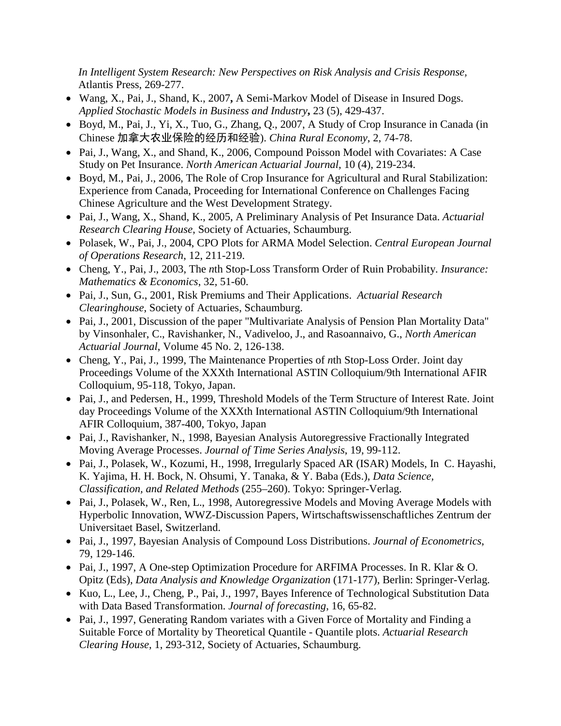*In Intelligent System Research: New Perspectives on Risk Analysis and Crisis Response,* Atlantis Press, 269-277.

- Wang, X., Pai, J., Shand, K., 2007**,** A Semi-Markov Model of Disease in Insured Dogs. *Applied Stochastic Models in Business and Industry***,** 23 (5), 429-437.
- Boyd, M., Pai, J., Yi, X., Tuo, G., Zhang, Q., 2007, A Study of Crop Insurance in Canada (in Chinese 加拿大农业保险的经历和经验). *China Rural Economy*, 2, 74-78.
- Pai, J., Wang, X., and Shand, K., 2006, Compound Poisson Model with Covariates: A Case Study on Pet Insurance. *North American Actuarial Journal*, 10 (4), 219-234.
- Boyd, M., Pai, J., 2006, The Role of Crop Insurance for Agricultural and Rural Stabilization: Experience from Canada, Proceeding for International Conference on Challenges Facing Chinese Agriculture and the West Development Strategy.
- Pai, J., Wang, X., Shand, K., 2005, A Preliminary Analysis of Pet Insurance Data. *Actuarial Research Clearing House*, Society of Actuaries, Schaumburg.
- Polasek, W., Pai, J., 2004, CPO Plots for ARMA Model Selection. *Central European Journal of Operations Research*, 12, 211-219.
- Cheng, Y., Pai, J., 2003, The *n*th Stop-Loss Transform Order of Ruin Probability. *Insurance: Mathematics & Economics*, 32, 51-60.
- Pai, J., Sun, G., 2001, Risk Premiums and Their Applications. *Actuarial Research Clearinghouse*, Society of Actuaries, Schaumburg.
- Pai, J., 2001, Discussion of the paper "Multivariate Analysis of Pension Plan Mortality Data" by Vinsonhaler, C., Ravishanker, N., Vadiveloo, J., and Rasoannaivo, G., *North American Actuarial Journal*, Volume 45 No. 2, 126-138.
- Cheng, Y., Pai, J., 1999, The Maintenance Properties of *n*th Stop-Loss Order. Joint day Proceedings Volume of the XXXth International ASTIN Colloquium/9th International AFIR Colloquium, 95-118, Tokyo, Japan.
- Pai, J., and Pedersen, H., 1999, Threshold Models of the Term Structure of Interest Rate. Joint day Proceedings Volume of the XXXth International ASTIN Colloquium/9th International AFIR Colloquium, 387-400, Tokyo, Japan
- Pai, J., Ravishanker, N., 1998, Bayesian Analysis Autoregressive Fractionally Integrated Moving Average Processes. *Journal of Time Series Analysis*, 19, 99-112.
- Pai, J., Polasek, W., Kozumi, H., 1998, Irregularly Spaced AR (ISAR) Models, In C. Hayashi, K. Yajima, H. H. Bock, N. Ohsumi, Y. Tanaka, & Y. Baba (Eds.), *Data Science, Classification, and Related Methods* (255–260). Tokyo: Springer-Verlag.
- Pai, J., Polasek, W., Ren, L., 1998, Autoregressive Models and Moving Average Models with Hyperbolic Innovation, WWZ-Discussion Papers, Wirtschaftswissenschaftliches Zentrum der Universitaet Basel, Switzerland.
- Pai, J., 1997, Bayesian Analysis of Compound Loss Distributions. *Journal of Econometrics*, 79, 129-146.
- Pai, J., 1997, A One-step Optimization Procedure for ARFIMA Processes. In R. Klar & O. Opitz (Eds), *Data Analysis and Knowledge Organization* (171-177), Berlin: Springer-Verlag.
- Kuo, L., Lee, J., Cheng, P., Pai, J., 1997, Bayes Inference of Technological Substitution Data with Data Based Transformation. *Journal of forecasting*, 16, 65-82.
- Pai, J., 1997, Generating Random variates with a Given Force of Mortality and Finding a Suitable Force of Mortality by Theoretical Quantile - Quantile plots. *Actuarial Research Clearing House*, 1, 293-312, Society of Actuaries, Schaumburg.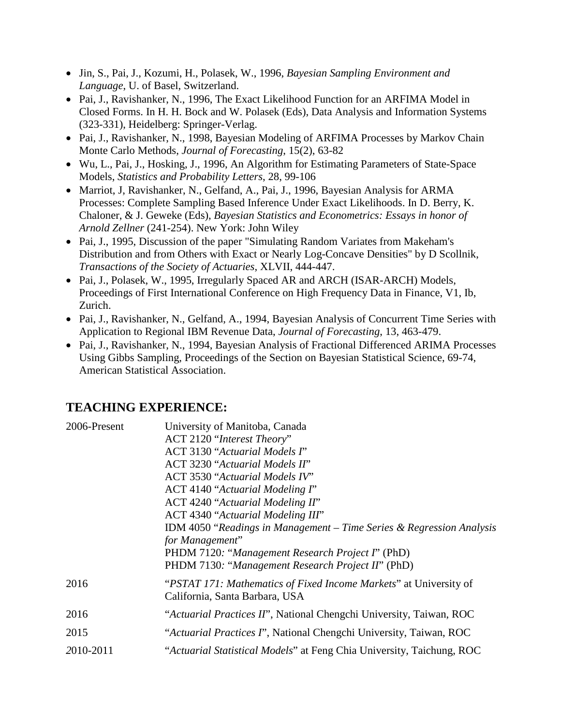- Jin, S., Pai, J., Kozumi, H., Polasek, W., 1996, *Bayesian Sampling Environment and Language*, U. of Basel, Switzerland.
- Pai, J., Ravishanker, N., 1996, The Exact Likelihood Function for an ARFIMA Model in Closed Forms. In H. H. Bock and W. Polasek (Eds), Data Analysis and Information Systems (323-331), Heidelberg: Springer-Verlag.
- Pai, J., Ravishanker, N., 1998, Bayesian Modeling of ARFIMA Processes by Markov Chain Monte Carlo Methods, *Journal of Forecasting*, 15(2), 63-82
- Wu, L., Pai, J., Hosking, J., 1996, An Algorithm for Estimating Parameters of State-Space Models, *Statistics and Probability Letters*, 28, 99-106
- Marriot, J, Ravishanker, N., Gelfand, A., Pai, J., 1996, Bayesian Analysis for ARMA Processes: Complete Sampling Based Inference Under Exact Likelihoods. In D. Berry, K. Chaloner, & J. Geweke (Eds), *Bayesian Statistics and Econometrics: Essays in honor of Arnold Zellner* (241-254). New York: John Wiley
- Pai, J., 1995, Discussion of the paper "Simulating Random Variates from Makeham's Distribution and from Others with Exact or Nearly Log-Concave Densities" by D Scollnik, *Transactions of the Society of Actuaries*, XLVII, 444-447.
- Pai, J., Polasek, W., 1995, Irregularly Spaced AR and ARCH (ISAR-ARCH) Models, Proceedings of First International Conference on High Frequency Data in Finance, V1, Ib, Zurich.
- Pai, J., Ravishanker, N., Gelfand, A., 1994, Bayesian Analysis of Concurrent Time Series with Application to Regional IBM Revenue Data, *Journal of Forecasting*, 13, 463-479.
- Pai, J., Ravishanker, N., 1994, Bayesian Analysis of Fractional Differenced ARIMA Processes Using Gibbs Sampling, Proceedings of the Section on Bayesian Statistical Science, 69-74, American Statistical Association.

## **TEACHING EXPERIENCE:**

| 2006-Present | University of Manitoba, Canada                                                                      |
|--------------|-----------------------------------------------------------------------------------------------------|
|              | ACT 2120 "Interest Theory"                                                                          |
|              | <b>ACT 3130 "Actuarial Models I"</b>                                                                |
|              | <b>ACT 3230 "Actuarial Models II"</b>                                                               |
|              | <b>ACT 3530 "Actuarial Models IV"</b>                                                               |
|              | ACT 4140 "Actuarial Modeling $\Gamma$ "                                                             |
|              | ACT 4240 "Actuarial Modeling II"                                                                    |
|              | ACT 4340 "Actuarial Modeling III"                                                                   |
|              | IDM 4050 "Readings in Management $-$ Time Series & Regression Analysis                              |
|              | for Management"                                                                                     |
|              | PHDM 7120: "Management Research Project I" (PhD)                                                    |
|              | PHDM 7130: "Management Research Project II" (PhD)                                                   |
| 2016         | "PSTAT 171: Mathematics of Fixed Income Markets" at University of<br>California, Santa Barbara, USA |
|              |                                                                                                     |
| 2016         | "Actuarial Practices II", National Chengchi University, Taiwan, ROC                                 |
| 2015         | "Actuarial Practices I", National Chengchi University, Taiwan, ROC                                  |
| 2010-2011    | "Actuarial Statistical Models" at Feng Chia University, Taichung, ROC                               |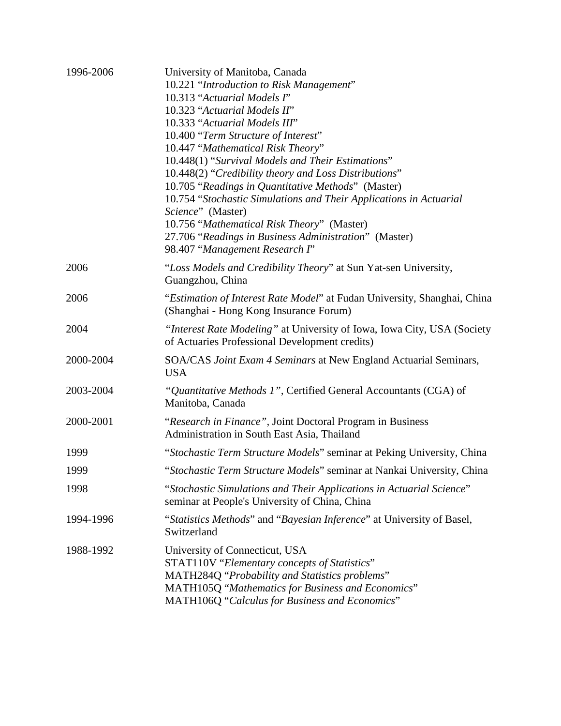| 1996-2006 | University of Manitoba, Canada                                                                                            |
|-----------|---------------------------------------------------------------------------------------------------------------------------|
|           | 10.221 "Introduction to Risk Management"                                                                                  |
|           | 10.313 "Actuarial Models I"                                                                                               |
|           | 10.323 "Actuarial Models II"                                                                                              |
|           | 10.333 "Actuarial Models III"                                                                                             |
|           | 10.400 "Term Structure of Interest"                                                                                       |
|           | 10.447 "Mathematical Risk Theory"                                                                                         |
|           | 10.448(1) "Survival Models and Their Estimations"                                                                         |
|           | 10.448(2) "Credibility theory and Loss Distributions"                                                                     |
|           | 10.705 "Readings in Quantitative Methods" (Master)                                                                        |
|           | 10.754 "Stochastic Simulations and Their Applications in Actuarial                                                        |
|           | Science" (Master)                                                                                                         |
|           | 10.756 "Mathematical Risk Theory" (Master)                                                                                |
|           | 27.706 "Readings in Business Administration" (Master)                                                                     |
|           | 98.407 "Management Research I"                                                                                            |
| 2006      | "Loss Models and Credibility Theory" at Sun Yat-sen University,                                                           |
|           | Guangzhou, China                                                                                                          |
| 2006      | "Estimation of Interest Rate Model" at Fudan University, Shanghai, China                                                  |
|           | (Shanghai - Hong Kong Insurance Forum)                                                                                    |
| 2004      | "Interest Rate Modeling" at University of Iowa, Iowa City, USA (Society<br>of Actuaries Professional Development credits) |
| 2000-2004 | SOA/CAS Joint Exam 4 Seminars at New England Actuarial Seminars,<br><b>USA</b>                                            |
| 2003-2004 | "Quantitative Methods 1", Certified General Accountants (CGA) of                                                          |
|           | Manitoba, Canada                                                                                                          |
| 2000-2001 | "Research in Finance", Joint Doctoral Program in Business                                                                 |
|           | Administration in South East Asia, Thailand                                                                               |
| 1999      | "Stochastic Term Structure Models" seminar at Peking University, China                                                    |
| 1999      | "Stochastic Term Structure Models" seminar at Nankai University, China                                                    |
| 1998      | "Stochastic Simulations and Their Applications in Actuarial Science"<br>seminar at People's University of China, China    |
| 1994-1996 | "Statistics Methods" and "Bayesian Inference" at University of Basel,<br>Switzerland                                      |
| 1988-1992 | University of Connecticut, USA                                                                                            |
|           | STAT110V "Elementary concepts of Statistics"                                                                              |
|           | MATH284Q "Probability and Statistics problems"                                                                            |
|           | MATH105Q "Mathematics for Business and Economics"                                                                         |
|           | MATH106Q "Calculus for Business and Economics"                                                                            |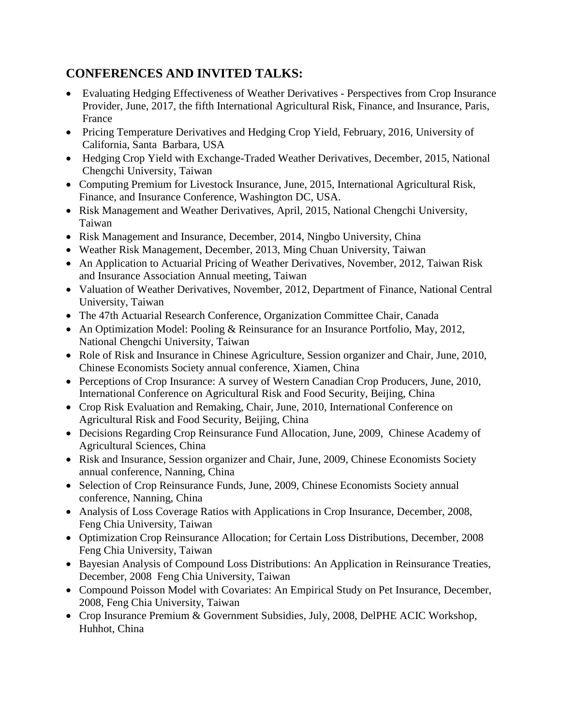### **CONFERENCES AND INVITED TALKS:**

- Evaluating Hedging Effectiveness of Weather Derivatives Perspectives from Crop Insurance Provider, June, 2017, the fifth International Agricultural Risk, Finance, and Insurance, Paris, France
- Pricing Temperature Derivatives and Hedging Crop Yield, February, 2016, University of California, Santa Barbara, USA
- Hedging Crop Yield with Exchange-Traded Weather Derivatives, December, 2015, National Chengchi University, Taiwan
- Computing Premium for Livestock Insurance, June, 2015, International Agricultural Risk, Finance, and Insurance Conference, Washington DC, USA.
- Risk Management and Weather Derivatives, April, 2015, National Chengchi University, Taiwan
- Risk Management and Insurance, December, 2014, Ningbo University, China
- Weather Risk Management, December, 2013, Ming Chuan University, Taiwan
- An Application to Actuarial Pricing of Weather Derivatives, November, 2012, Taiwan Risk and Insurance Association Annual meeting, Taiwan
- Valuation of Weather Derivatives, November, 2012, Department of Finance, National Central University, Taiwan
- The 47th Actuarial Research Conference, Organization Committee Chair, Canada
- An Optimization Model: Pooling & Reinsurance for an Insurance Portfolio, May, 2012. National Chengchi University, Taiwan
- Role of Risk and Insurance in Chinese Agriculture, Session organizer and Chair, June, 2010, Chinese Economists Society annual conference, Xiamen, China
- Perceptions of Crop Insurance: A survey of Western Canadian Crop Producers, June, 2010, International Conference on Agricultural Risk and Food Security, Beijing, China
- Crop Risk Evaluation and Remaking, Chair, June, 2010, International Conference on Agricultural Risk and Food Security, Beijing, China
- Decisions Regarding Crop Reinsurance Fund Allocation, June, 2009, Chinese Academy of Agricultural Sciences, China
- Risk and Insurance, Session organizer and Chair, June, 2009, Chinese Economists Society annual conference, Nanning, China
- Selection of Crop Reinsurance Funds, June, 2009, Chinese Economists Society annual conference, Nanning, China
- Analysis of Loss Coverage Ratios with Applications in Crop Insurance, December, 2008, Feng Chia University, Taiwan
- Optimization Crop Reinsurance Allocation; for Certain Loss Distributions, December, 2008 Feng Chia University, Taiwan
- Bayesian Analysis of Compound Loss Distributions: An Application in Reinsurance Treaties, December, 2008 Feng Chia University, Taiwan
- Compound Poisson Model with Covariates: An Empirical Study on Pet Insurance, December, 2008, Feng Chia University, Taiwan
- Crop Insurance Premium & Government Subsidies, July, 2008, DelPHE ACIC Workshop, Huhhot, China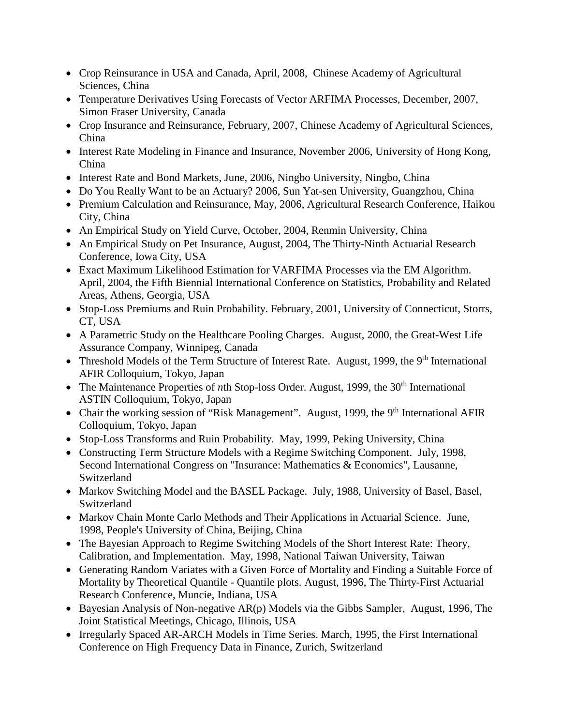- Crop Reinsurance in USA and Canada, April, 2008, Chinese Academy of Agricultural Sciences, China
- Temperature Derivatives Using Forecasts of Vector ARFIMA Processes, December, 2007, Simon Fraser University, Canada
- Crop Insurance and Reinsurance, February, 2007, Chinese Academy of Agricultural Sciences, China
- Interest Rate Modeling in Finance and Insurance, November 2006, University of Hong Kong, China
- Interest Rate and Bond Markets, June, 2006, Ningbo University, Ningbo, China
- Do You Really Want to be an Actuary? 2006, Sun Yat-sen University, Guangzhou, China
- Premium Calculation and Reinsurance, May, 2006, Agricultural Research Conference, Haikou City, China
- An Empirical Study on Yield Curve, October, 2004, Renmin University, China
- An Empirical Study on Pet Insurance, August, 2004, The Thirty-Ninth Actuarial Research Conference, Iowa City, USA
- Exact Maximum Likelihood Estimation for VARFIMA Processes via the EM Algorithm. April, 2004, the Fifth Biennial International Conference on Statistics, Probability and Related Areas, Athens, Georgia, USA
- Stop-Loss Premiums and Ruin Probability. February, 2001, University of Connecticut, Storrs, CT, USA
- A Parametric Study on the Healthcare Pooling Charges. August, 2000, the Great-West Life Assurance Company, Winnipeg, Canada
- Threshold Models of the Term Structure of Interest Rate. August, 1999, the 9<sup>th</sup> International AFIR Colloquium, Tokyo, Japan
- The Maintenance Properties of *n*th Stop-loss Order. August, 1999, the 30<sup>th</sup> International ASTIN Colloquium, Tokyo, Japan
- Chair the working session of "Risk Management". August, 1999, the 9<sup>th</sup> International AFIR Colloquium, Tokyo, Japan
- Stop-Loss Transforms and Ruin Probability. May, 1999, Peking University, China
- Constructing Term Structure Models with a Regime Switching Component. July, 1998, Second International Congress on "Insurance: Mathematics & Economics", Lausanne, Switzerland
- Markov Switching Model and the BASEL Package. July, 1988, University of Basel, Basel, Switzerland
- Markov Chain Monte Carlo Methods and Their Applications in Actuarial Science. June, 1998, People's University of China, Beijing, China
- The Bayesian Approach to Regime Switching Models of the Short Interest Rate: Theory, Calibration, and Implementation. May, 1998, National Taiwan University, Taiwan
- Generating Random Variates with a Given Force of Mortality and Finding a Suitable Force of Mortality by Theoretical Quantile - Quantile plots. August, 1996, The Thirty-First Actuarial Research Conference, Muncie, Indiana, USA
- Bayesian Analysis of Non-negative AR(p) Models via the Gibbs Sampler, August, 1996, The Joint Statistical Meetings, Chicago, Illinois, USA
- Irregularly Spaced AR-ARCH Models in Time Series. March, 1995, the First International Conference on High Frequency Data in Finance, Zurich, Switzerland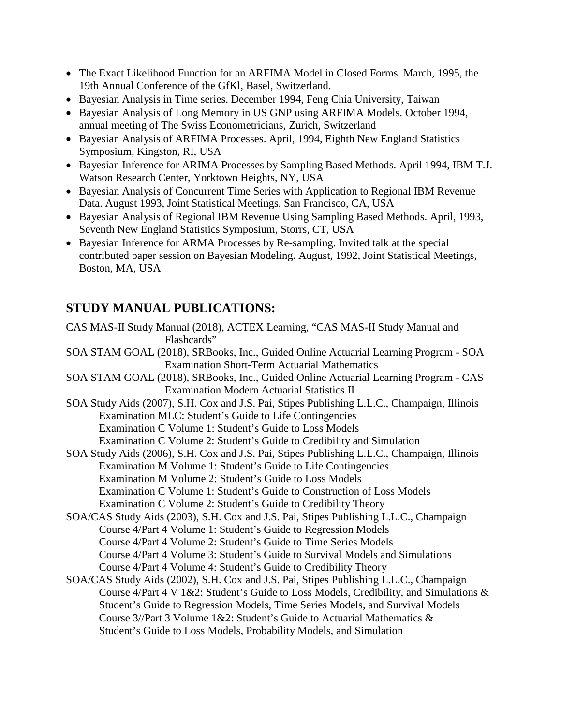- The Exact Likelihood Function for an ARFIMA Model in Closed Forms. March, 1995, the 19th Annual Conference of the GfKl, Basel, Switzerland.
- Bayesian Analysis in Time series. December 1994, Feng Chia University, Taiwan
- Bayesian Analysis of Long Memory in US GNP using ARFIMA Models. October 1994, annual meeting of The Swiss Econometricians, Zurich, Switzerland
- Bayesian Analysis of ARFIMA Processes. April, 1994, Eighth New England Statistics Symposium, Kingston, RI, USA
- Bayesian Inference for ARIMA Processes by Sampling Based Methods. April 1994, IBM T.J. Watson Research Center, Yorktown Heights, NY, USA
- Bayesian Analysis of Concurrent Time Series with Application to Regional IBM Revenue Data. August 1993, Joint Statistical Meetings, San Francisco, CA, USA
- Bayesian Analysis of Regional IBM Revenue Using Sampling Based Methods. April, 1993, Seventh New England Statistics Symposium, Storrs, CT, USA
- Bayesian Inference for ARMA Processes by Re-sampling. Invited talk at the special contributed paper session on Bayesian Modeling. August, 1992, Joint Statistical Meetings, Boston, MA, USA

## **STUDY MANUAL PUBLICATIONS:**

CAS MAS-II Study Manual (2018), ACTEX Learning, "CAS MAS-II Study Manual and Flashcards" SOA STAM GOAL (2018), SRBooks, Inc., Guided Online Actuarial Learning Program - SOA Examination Short-Term Actuarial Mathematics SOA STAM GOAL (2018), SRBooks, Inc., Guided Online Actuarial Learning Program - CAS Examination Modern Actuarial Statistics II SOA Study Aids (2007), S.H. Cox and J.S. Pai, Stipes Publishing L.L.C., Champaign, Illinois Examination MLC: Student's Guide to Life Contingencies Examination C Volume 1: Student's Guide to Loss Models Examination C Volume 2: Student's Guide to Credibility and Simulation SOA Study Aids (2006), S.H. Cox and J.S. Pai, Stipes Publishing L.L.C., Champaign, Illinois Examination M Volume 1: Student's Guide to Life Contingencies Examination M Volume 2: Student's Guide to Loss Models Examination C Volume 1: Student's Guide to Construction of Loss Models Examination C Volume 2: Student's Guide to Credibility Theory SOA/CAS Study Aids (2003), S.H. Cox and J.S. Pai, Stipes Publishing L.L.C., Champaign Course 4/Part 4 Volume 1: Student's Guide to Regression Models Course 4/Part 4 Volume 2: Student's Guide to Time Series Models Course 4/Part 4 Volume 3: Student's Guide to Survival Models and Simulations Course 4/Part 4 Volume 4: Student's Guide to Credibility Theory SOA/CAS Study Aids (2002), S.H. Cox and J.S. Pai, Stipes Publishing L.L.C., Champaign Course 4/Part 4 V 1&2: Student's Guide to Loss Models, Credibility, and Simulations & Student's Guide to Regression Models, Time Series Models, and Survival Models Course 3//Part 3 Volume 1&2: Student's Guide to Actuarial Mathematics & Student's Guide to Loss Models, Probability Models, and Simulation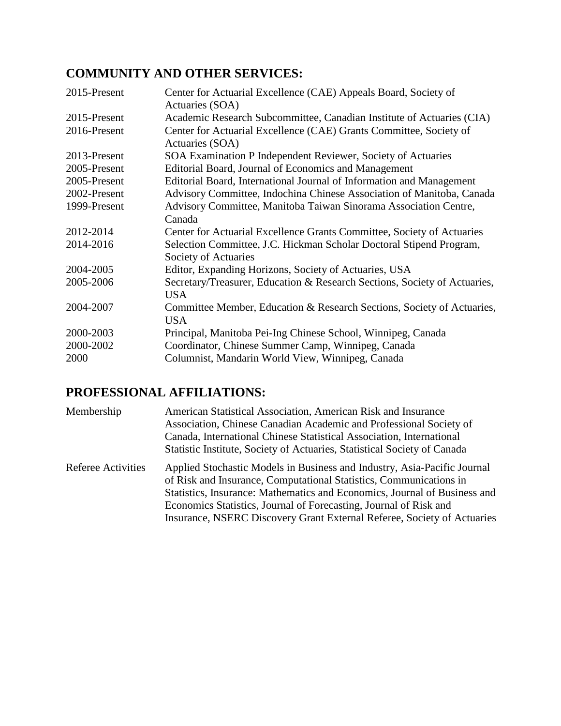## **COMMUNITY AND OTHER SERVICES:**

| 2015-Present | Center for Actuarial Excellence (CAE) Appeals Board, Society of<br>Actuaries (SOA) |
|--------------|------------------------------------------------------------------------------------|
| 2015-Present | Academic Research Subcommittee, Canadian Institute of Actuaries (CIA)              |
| 2016-Present | Center for Actuarial Excellence (CAE) Grants Committee, Society of                 |
|              | Actuaries (SOA)                                                                    |
| 2013-Present | SOA Examination P Independent Reviewer, Society of Actuaries                       |
| 2005-Present | Editorial Board, Journal of Economics and Management                               |
| 2005-Present | Editorial Board, International Journal of Information and Management               |
| 2002-Present | Advisory Committee, Indochina Chinese Association of Manitoba, Canada              |
| 1999-Present | Advisory Committee, Manitoba Taiwan Sinorama Association Centre,                   |
|              | Canada                                                                             |
| 2012-2014    | Center for Actuarial Excellence Grants Committee, Society of Actuaries             |
| 2014-2016    | Selection Committee, J.C. Hickman Scholar Doctoral Stipend Program,                |
|              | Society of Actuaries                                                               |
| 2004-2005    | Editor, Expanding Horizons, Society of Actuaries, USA                              |
| 2005-2006    | Secretary/Treasurer, Education & Research Sections, Society of Actuaries,          |
|              | <b>USA</b>                                                                         |
| 2004-2007    | Committee Member, Education & Research Sections, Society of Actuaries,             |
|              | <b>USA</b>                                                                         |
| 2000-2003    | Principal, Manitoba Pei-Ing Chinese School, Winnipeg, Canada                       |
| 2000-2002    | Coordinator, Chinese Summer Camp, Winnipeg, Canada                                 |
| 2000         | Columnist, Mandarin World View, Winnipeg, Canada                                   |

# **PROFESSIONAL AFFILIATIONS:**

| Membership                | American Statistical Association, American Risk and Insurance<br>Association, Chinese Canadian Academic and Professional Society of<br>Canada, International Chinese Statistical Association, International<br>Statistic Institute, Society of Actuaries, Statistical Society of Canada                                                                                     |
|---------------------------|-----------------------------------------------------------------------------------------------------------------------------------------------------------------------------------------------------------------------------------------------------------------------------------------------------------------------------------------------------------------------------|
| <b>Referee Activities</b> | Applied Stochastic Models in Business and Industry, Asia-Pacific Journal<br>of Risk and Insurance, Computational Statistics, Communications in<br>Statistics, Insurance: Mathematics and Economics, Journal of Business and<br>Economics Statistics, Journal of Forecasting, Journal of Risk and<br>Insurance, NSERC Discovery Grant External Referee, Society of Actuaries |